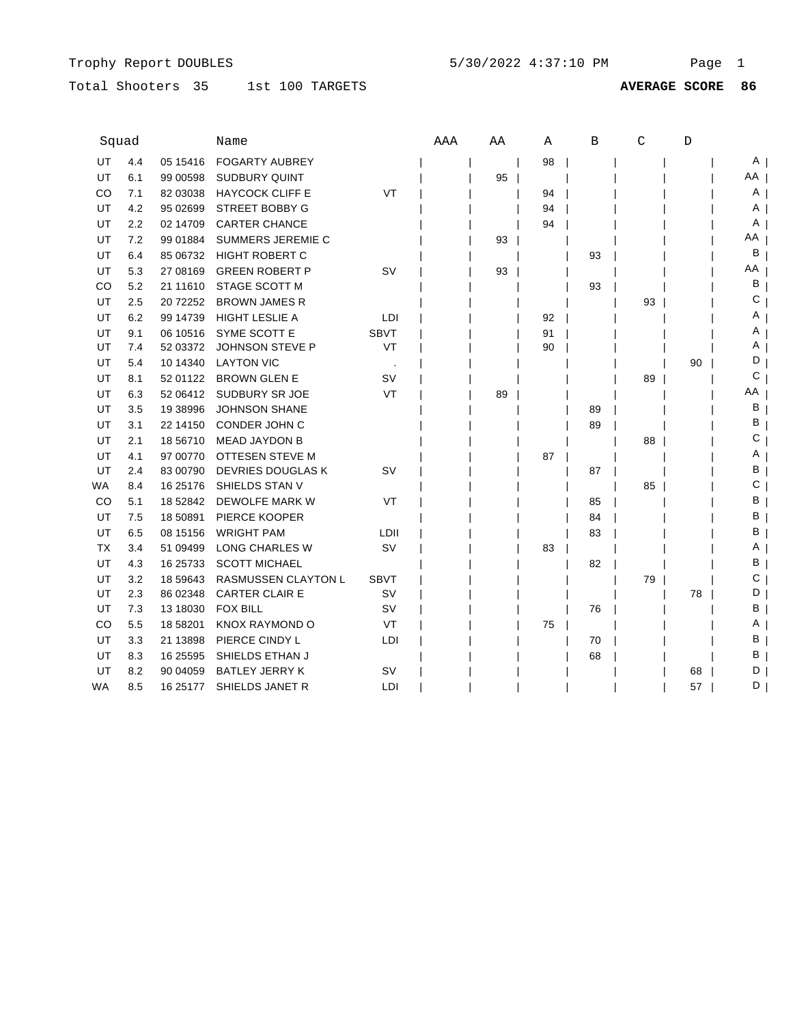# Total Shooters 35 1st 100 TARGETS

| Squad     |     |           | Name                       |             | AAA | AA | Α  | B  | $\mathsf{C}$ | D  |      |
|-----------|-----|-----------|----------------------------|-------------|-----|----|----|----|--------------|----|------|
| UT        | 4.4 | 05 15416  | <b>FOGARTY AUBREY</b>      |             |     |    | 98 |    |              |    | ΑI   |
| <b>UT</b> | 6.1 | 99 00598  | <b>SUDBURY QUINT</b>       |             |     | 95 |    |    |              |    | AA I |
| CO        | 7.1 | 82 03038  | <b>HAYCOCK CLIFF E</b>     | VT          |     |    | 94 |    |              |    | A    |
| UT        | 4.2 | 95 02699  | <b>STREET BOBBY G</b>      |             |     |    | 94 |    |              |    | A    |
| UT        | 2.2 | 02 14709  | <b>CARTER CHANCE</b>       |             |     |    | 94 |    |              |    | A    |
| UT        | 7.2 | 99 01884  | SUMMERS JEREMIE C          |             |     | 93 |    |    |              |    | AA   |
| UT        | 6.4 | 85 06732  | <b>HIGHT ROBERT C</b>      |             |     |    |    | 93 |              |    | В    |
| UT        | 5.3 | 27 08 169 | <b>GREEN ROBERT P</b>      | <b>SV</b>   |     | 93 |    |    |              |    | ΑA   |
| CO        | 5.2 | 21 11 610 | STAGE SCOTT M              |             |     |    |    | 93 |              |    | В    |
| UT        | 2.5 | 20 72252  | <b>BROWN JAMES R</b>       |             |     |    |    |    | 93           |    | С    |
| UT        | 6.2 | 99 14739  | <b>HIGHT LESLIE A</b>      | LDI         |     |    | 92 |    |              |    |      |
| UT        | 9.1 | 06 10516  | SYME SCOTT E               | <b>SBVT</b> |     |    | 91 |    |              |    |      |
| UT        | 7.4 | 52 03372  | JOHNSON STEVE P            | VT          |     |    | 90 |    |              |    | A    |
| UT        | 5.4 | 10 14 340 | <b>LAYTON VIC</b>          |             |     |    |    |    |              | 90 | D    |
| UT        | 8.1 | 52 01122  | <b>BROWN GLEN E</b>        | sv          |     |    |    |    | 89           |    | С    |
| UT        | 6.3 | 52 06412  | SUDBURY SR JOE             | VT          |     | 89 |    |    |              |    | ΑA   |
| UT        | 3.5 | 19 38996  | <b>JOHNSON SHANE</b>       |             |     |    |    | 89 |              |    | в    |
| UT        | 3.1 | 22 14150  | CONDER JOHN C              |             |     |    |    | 89 |              |    | в    |
| UT        | 2.1 | 18 56710  | <b>MEAD JAYDON B</b>       |             |     |    |    |    | 88           |    | С    |
| UT        | 4.1 | 97 00770  | OTTESEN STEVE M            |             |     |    | 87 |    |              |    |      |
| UT        | 2.4 | 83 00790  | <b>DEVRIES DOUGLAS K</b>   | <b>SV</b>   |     |    |    | 87 |              |    | в    |
| WA.       | 8.4 | 16 25176  | SHIELDS STAN V             |             |     |    |    |    | 85           |    | С    |
| CO.       | 5.1 | 18 52842  | DEWOLFE MARK W             | VT          |     |    |    | 85 |              |    | в    |
| UT        | 7.5 | 18 50891  | PIERCE KOOPER              |             |     |    |    | 84 |              |    | в    |
| UT        | 6.5 | 08 15156  | <b>WRIGHT PAM</b>          | LDII        |     |    |    | 83 |              |    | В    |
| TX        | 3.4 | 51 09499  | LONG CHARLES W             | <b>SV</b>   |     |    | 83 |    |              |    | A    |
| UT        | 4.3 | 16 25733  | <b>SCOTT MICHAEL</b>       |             |     |    |    | 82 |              |    | в    |
| UT        | 3.2 | 18 59 643 | <b>RASMUSSEN CLAYTON L</b> | <b>SBVT</b> |     |    |    |    | 79           |    | С    |
| UT        | 2.3 | 86 02348  | <b>CARTER CLAIR E</b>      | SV          |     |    |    |    |              | 78 | D    |
| UT        | 7.3 | 13 18030  | <b>FOX BILL</b>            | sv          |     |    |    | 76 |              |    | в    |
| CO        | 5.5 | 18 58201  | <b>KNOX RAYMOND O</b>      | VT          |     |    | 75 |    |              |    | Α    |
| UT        | 3.3 | 21 13898  | PIERCE CINDY L             | LDI         |     |    |    | 70 |              |    | в    |
| UT        | 8.3 | 16 25595  | SHIELDS ETHAN J            |             |     |    |    | 68 |              |    | в    |
| UT        | 8.2 | 90 04 059 | <b>BATLEY JERRY K</b>      | sv          |     |    |    |    |              | 68 | D    |
| WA        | 8.5 | 16 25177  | SHIELDS JANET R            | LDI         |     |    |    |    |              | 57 | D    |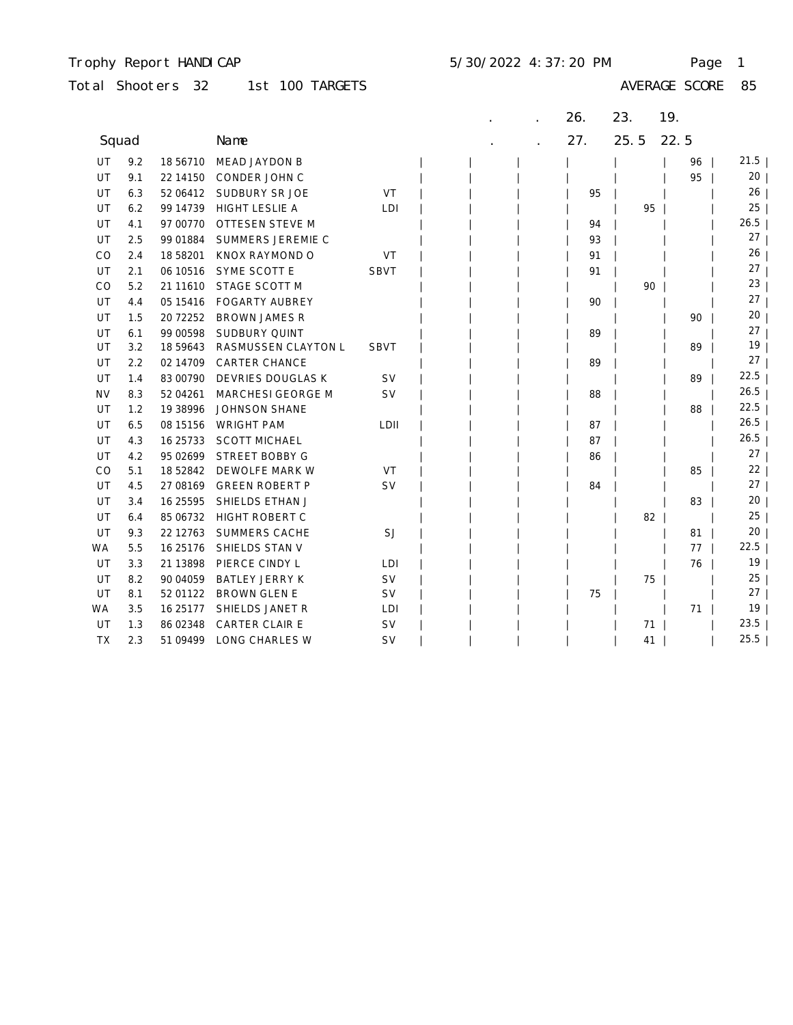## Trophy Report HANDICAP 5/30/2022 4:37:20 PM Page 1

| 1st 100 TARGETS<br>Total Shooters 32 |  |  |  |  |  |  |
|--------------------------------------|--|--|--|--|--|--|
|--------------------------------------|--|--|--|--|--|--|

|           |     |            |                        |             |  | 26. | 23.  | 19.  |                 |  |
|-----------|-----|------------|------------------------|-------------|--|-----|------|------|-----------------|--|
| Squad     |     |            | Name                   |             |  | 27. | 25.5 | 22.5 |                 |  |
| UT        | 9.2 | 18 56710   | MEAD JAYDON B          |             |  |     |      | 96   | 21.5            |  |
| UT        | 9.1 | 22 14 15 0 | CONDER JOHN C          |             |  |     |      | 95   | 20              |  |
| UT        | 6.3 | 52 06412   | SUDBURY SR JOE         | VT          |  | 95  |      |      | 26              |  |
| UT        | 6.2 | 99 14739   | <b>HIGHT LESLIE A</b>  | LDI         |  |     | 95   |      | 25              |  |
| UT        | 4.1 | 97 00770   | <b>OTTESEN STEVE M</b> |             |  | 94  |      |      | 26.5            |  |
| UT        | 2.5 | 99 01884   | SUMMERS JEREMIE C      |             |  | 93  |      |      | 27              |  |
| CO        | 2.4 | 18 58201   | KNOX RAYMOND O         | VT          |  | 91  |      |      | 26              |  |
| UT        | 2.1 | 06 10516   | SYME SCOTT E           | <b>SBVT</b> |  | 91  |      |      | 27              |  |
| CO        | 5.2 | 21 11 610  | STAGE SCOTT M          |             |  |     | 90   |      | 23              |  |
| UT        | 4.4 | 05 15416   | <b>FOGARTY AUBREY</b>  |             |  | 90  |      |      | 27              |  |
| UT        | 1.5 | 20 72 25 2 | <b>BROWN JAMES R</b>   |             |  |     |      | 90   | 20              |  |
| UT        | 6.1 | 99 00598   | <b>SUDBURY QUINT</b>   |             |  | 89  |      |      | 27              |  |
| UT        | 3.2 | 18 59 643  | RASMUSSEN CLAYTON L    | <b>SBVT</b> |  |     |      | 89   | 19              |  |
| UT        | 2.2 | 02 14709   | <b>CARTER CHANCE</b>   |             |  | 89  |      |      | 27              |  |
| UT        | 1.4 | 83 00790   | DEVRIES DOUGLAS K      | <b>SV</b>   |  |     |      | 89   | 22.5            |  |
| <b>NV</b> | 8.3 | 52 04 261  | MARCHESI GEORGE M      | SV          |  | 88  |      |      | 26.5            |  |
| UT        | 1.2 | 19 38 996  | <b>JOHNSON SHANE</b>   |             |  |     |      | 88   | 22.5            |  |
| UT        | 6.5 | 08 15156   | <b>WRIGHT PAM</b>      | LDII        |  | 87  |      |      | 26.5            |  |
| UT        | 4.3 | 16 25733   | <b>SCOTT MICHAEL</b>   |             |  | 87  |      |      | 26.5            |  |
| UT        | 4.2 | 95 02699   | <b>STREET BOBBY G</b>  |             |  | 86  |      |      | 27              |  |
| CO        | 5.1 | 18 52842   | DEWOLFE MARK W         | VT          |  |     |      | 85   | 22              |  |
| UT        | 4.5 | 27 08 169  | <b>GREEN ROBERT P</b>  | <b>SV</b>   |  | 84  |      |      | 27              |  |
| UT        | 3.4 | 16 25595   | SHIELDS ETHAN J        |             |  |     |      | 83   | 20 <sub>2</sub> |  |
| UT        | 6.4 | 85 06732   | HIGHT ROBERT C         |             |  |     | 82   |      | 25              |  |
| UT        | 9.3 | 22 12763   | <b>SUMMERS CACHE</b>   | SJ          |  |     |      | 81   | 20              |  |
| WA        | 5.5 | 16 25 176  | SHIELDS STAN V         |             |  |     |      | 77   | 22.5            |  |
| UT        | 3.3 | 21 13898   | PIERCE CINDY L         | LDI         |  |     |      | 76   | 19              |  |
| UT        | 8.2 | 90 04 059  | <b>BATLEY JERRY K</b>  | <b>SV</b>   |  |     | 75   |      | 25              |  |
| UT        | 8.1 | 52 01122   | <b>BROWN GLEN E</b>    | <b>SV</b>   |  | 75  |      |      | 27              |  |
| WA        | 3.5 | 16 25 177  | SHIELDS JANET R        | LDI         |  |     |      | 71   | 19              |  |
| UT        | 1.3 | 86 02348   | CARTER CLAIR E         | <b>SV</b>   |  |     | 71   |      | 23.5            |  |
| TX        | 2.3 | 51 09499   | LONG CHARLES W         | <b>SV</b>   |  |     | 41   |      | 25.5            |  |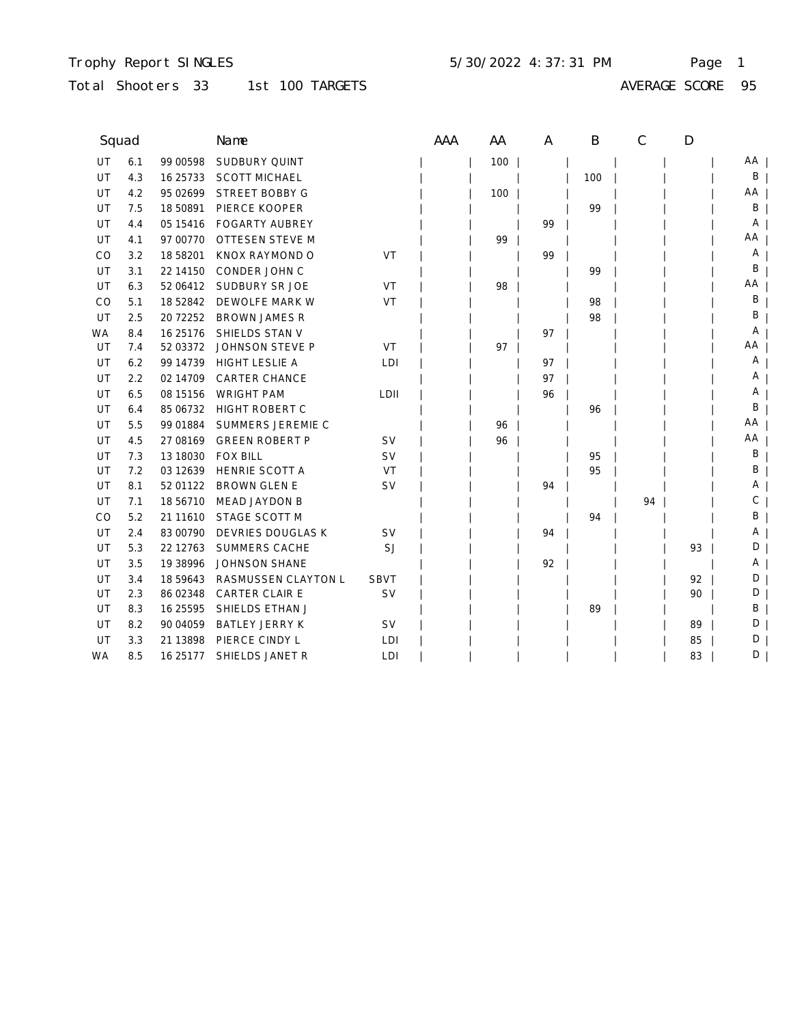### Trophy Report SINGLES Page 1 5/30/2022 4:37:31 PM

Total Shooters 33 1st 100 TARGETS

AVERAGE SCORE 95

| Squad     |     |            | Name                     |             | <b>AAA</b> | AA  | A  | B   | $\mathcal{C}$ | D  |    |
|-----------|-----|------------|--------------------------|-------------|------------|-----|----|-----|---------------|----|----|
| UT        | 6.1 | 99 00598   | <b>SUDBURY QUINT</b>     |             |            | 100 |    |     |               |    | AA |
| UT        | 4.3 | 16 25 7 33 | <b>SCOTT MICHAEL</b>     |             |            |     |    | 100 |               |    | B  |
| UT        | 4.2 | 95 02699   | <b>STREET BOBBY G</b>    |             |            | 100 |    |     |               |    | AA |
| UT        | 7.5 | 18 50891   | PIERCE KOOPER            |             |            |     |    | 99  |               |    | Β  |
| UT        | 4.4 | 05 15416   | <b>FOGARTY AUBREY</b>    |             |            |     | 99 |     |               |    | Α  |
| UT        | 4.1 | 97 00770   | <b>OTTESEN STEVE M</b>   |             |            | 99  |    |     |               |    | AA |
| CO        | 3.2 | 18 58201   | KNOX RAYMOND O           | VT          |            |     | 99 |     |               |    | Α  |
| UT        | 3.1 | 22 14 15 0 | <b>CONDER JOHN C</b>     |             |            |     |    | 99  |               |    | В  |
| UT        | 6.3 | 52 06412   | SUDBURY SR JOE           | VT          |            | 98  |    |     |               |    | AA |
| CO        | 5.1 | 18 52842   | DEWOLFE MARK W           | VT          |            |     |    | 98  |               |    | Β  |
| UT        | 2.5 | 20 72 25 2 | <b>BROWN JAMES R</b>     |             |            |     |    | 98  |               |    | Β  |
| WA        | 8.4 | 16 25 176  | SHIELDS STAN V           |             |            |     | 97 |     |               |    | Α  |
| UT        | 7.4 | 52 03372   | JOHNSON STEVE P          | VT          |            | 97  |    |     |               |    | ΑA |
| UT        | 6.2 | 99 14739   | <b>HIGHT LESLIE A</b>    | LDI         |            |     | 97 |     |               |    | Α  |
| UT        | 2.2 | 02 14709   | <b>CARTER CHANCE</b>     |             |            |     | 97 |     |               |    | Α  |
| UT        | 6.5 | 08 15 15 6 | <b>WRIGHT PAM</b>        | LDII        |            |     | 96 |     |               |    | Α  |
| UT        | 6.4 | 85 06732   | <b>HIGHT ROBERT C</b>    |             |            |     |    | 96  |               |    | Β  |
| UT        | 5.5 | 99 01884   | SUMMERS JEREMIE C        |             |            | 96  |    |     |               |    | AA |
| UT        | 4.5 | 27 08 169  | <b>GREEN ROBERT P</b>    | <b>SV</b>   |            | 96  |    |     |               |    | AA |
| UT        | 7.3 | 13 18030   | <b>FOX BILL</b>          | <b>SV</b>   |            |     |    | 95  |               |    | B  |
| UT        | 7.2 | 03 12639   | <b>HENRIE SCOTT A</b>    | VT          |            |     |    | 95  |               |    | В  |
| UT        | 8.1 | 52 01122   | <b>BROWN GLEN E</b>      | SV          |            |     | 94 |     |               |    | Α  |
| UT        | 7.1 | 18 56710   | <b>MEAD JAYDON B</b>     |             |            |     |    |     | 94            |    | С  |
| CO        | 5.2 | 21 11 610  | STAGE SCOTT M            |             |            |     |    | 94  |               |    | В  |
| UT        | 2.4 | 83 00790   | <b>DEVRIES DOUGLAS K</b> | SV          |            |     | 94 |     |               |    | Α  |
| <b>UT</b> | 5.3 | 22 12763   | <b>SUMMERS CACHE</b>     | SJ          |            |     |    |     |               | 93 | D  |
| UT        | 3.5 | 19 38 996  | <b>JOHNSON SHANE</b>     |             |            |     | 92 |     |               |    | A  |
| UT        | 3.4 | 18 59 643  | RASMUSSEN CLAYTON L      | <b>SBVT</b> |            |     |    |     |               | 92 | D  |
| UT        | 2.3 | 86 02348   | <b>CARTER CLAIR E</b>    | <b>SV</b>   |            |     |    |     |               | 90 | D  |
| UT        | 8.3 | 16 25595   | SHIELDS ETHAN J          |             |            |     |    | 89  |               |    | В  |
| UT        | 8.2 | 90 04 059  | <b>BATLEY JERRY K</b>    | <b>SV</b>   |            |     |    |     |               | 89 | D  |
| UT        | 3.3 | 21 13898   | PIERCE CINDY L           | LDI         |            |     |    |     |               | 85 | D  |
| <b>WA</b> | 8.5 | 16 25 177  | SHIELDS JANET R          | LDI         |            |     |    |     |               | 83 | D  |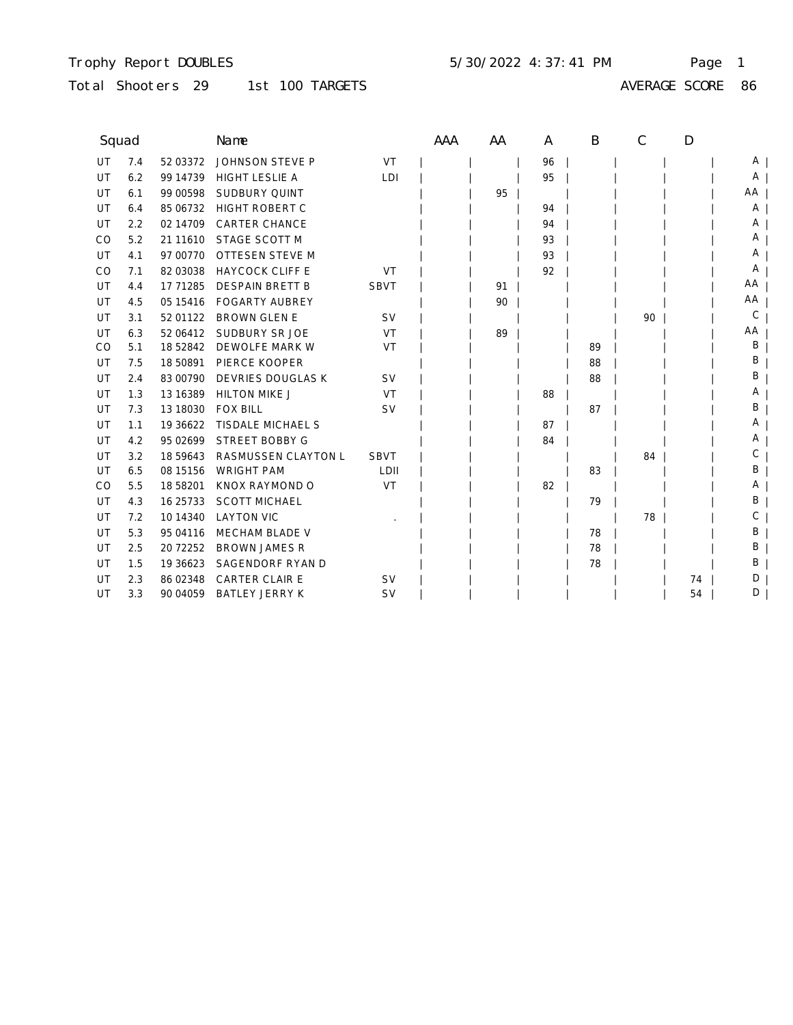## Trophy Report DOUBLES Page 1 5/30/2022 4:37:41 PM

Total Shooters 29 1st 100 TARGETS

AVERAGE SCORE 86

| Squad |     |            | Name                   |             | AAA | AA | A  | B  | C  | D  |    |
|-------|-----|------------|------------------------|-------------|-----|----|----|----|----|----|----|
| UT    | 7.4 | 52 03372   | JOHNSON STEVE P        | VT          |     |    | 96 |    |    |    | A  |
| UT    | 6.2 | 99 14739   | <b>HIGHT LESLIE A</b>  | LDI         |     |    | 95 |    |    |    | A  |
| UT    | 6.1 | 99 00598   | <b>SUDBURY QUINT</b>   |             |     | 95 |    |    |    |    | AA |
| UT    | 6.4 | 85 06732   | <b>HIGHT ROBERT C</b>  |             |     |    | 94 |    |    |    | Α  |
| UT    | 2.2 | 02 14709   | <b>CARTER CHANCE</b>   |             |     |    | 94 |    |    |    | A  |
| CO    | 5.2 | 21 11 610  | STAGE SCOTT M          |             |     |    | 93 |    |    |    | A  |
| UT    | 4.1 | 97 00770   | <b>OTTESEN STEVE M</b> |             |     |    | 93 |    |    |    | A  |
| CO    | 7.1 | 82 03038   | <b>HAYCOCK CLIFF E</b> | VT          |     |    | 92 |    |    |    | Α  |
| UT    | 4.4 | 17 71285   | <b>DESPAIN BRETT B</b> | <b>SBVT</b> |     | 91 |    |    |    |    | AA |
| UT    | 4.5 | 05 15416   | <b>FOGARTY AUBREY</b>  |             |     | 90 |    |    |    |    | AA |
| UT    | 3.1 | 52 01122   | <b>BROWN GLEN E</b>    | <b>SV</b>   |     |    |    |    | 90 |    | С  |
| UT    | 6.3 | 52 06412   | SUDBURY SR JOE         | VT          |     | 89 |    |    |    |    | AA |
| CO    | 5.1 | 18 52842   | DEWOLFE MARK W         | VT          |     |    |    | 89 |    |    | Β  |
| UT    | 7.5 | 18 50891   | PIERCE KOOPER          |             |     |    |    | 88 |    |    | В  |
| UT    | 2.4 | 83 00790   | DEVRIES DOUGLAS K      | <b>SV</b>   |     |    |    | 88 |    |    | В  |
| UT    | 1.3 | 13 16 389  | <b>HILTON MIKE J</b>   | VT          |     |    | 88 |    |    |    | Α  |
| UT    | 7.3 | 13 18030   | <b>FOX BILL</b>        | <b>SV</b>   |     |    |    | 87 |    |    | В  |
| UT    | 1.1 | 19 36622   | TISDALE MICHAEL S      |             |     |    | 87 |    |    |    | A  |
| UT    | 4.2 | 95 02699   | <b>STREET BOBBY G</b>  |             |     |    | 84 |    |    |    | A  |
| UT    | 3.2 | 18 59 643  | RASMUSSEN CLAYTON L    | <b>SBVT</b> |     |    |    |    | 84 |    | С  |
| UT    | 6.5 | 08 15 15 6 | <b>WRIGHT PAM</b>      | LDII        |     |    |    | 83 |    |    | В  |
| CO    | 5.5 | 18 58201   | KNOX RAYMOND O         | VT          |     |    | 82 |    |    |    | A  |
| UT    | 4.3 | 16 25 7 33 | <b>SCOTT MICHAEL</b>   |             |     |    |    | 79 |    |    | В  |
| UT    | 7.2 | 10 14 34 0 | <b>LAYTON VIC</b>      |             |     |    |    |    | 78 |    | С  |
| UT    | 5.3 | 95 04116   | MECHAM BLADE V         |             |     |    |    | 78 |    |    | В  |
| UT    | 2.5 | 20 72252   | <b>BROWN JAMES R</b>   |             |     |    |    | 78 |    |    | Β  |
| UT    | 1.5 | 19 36 623  | SAGENDORF RYAN D       |             |     |    |    | 78 |    |    | В  |
| UT    | 2.3 | 86 02348   | <b>CARTER CLAIR E</b>  | <b>SV</b>   |     |    |    |    |    | 74 | D  |
| UT    | 3.3 | 90 04 059  | <b>BATLEY JERRY K</b>  | <b>SV</b>   |     |    |    |    |    | 54 | D  |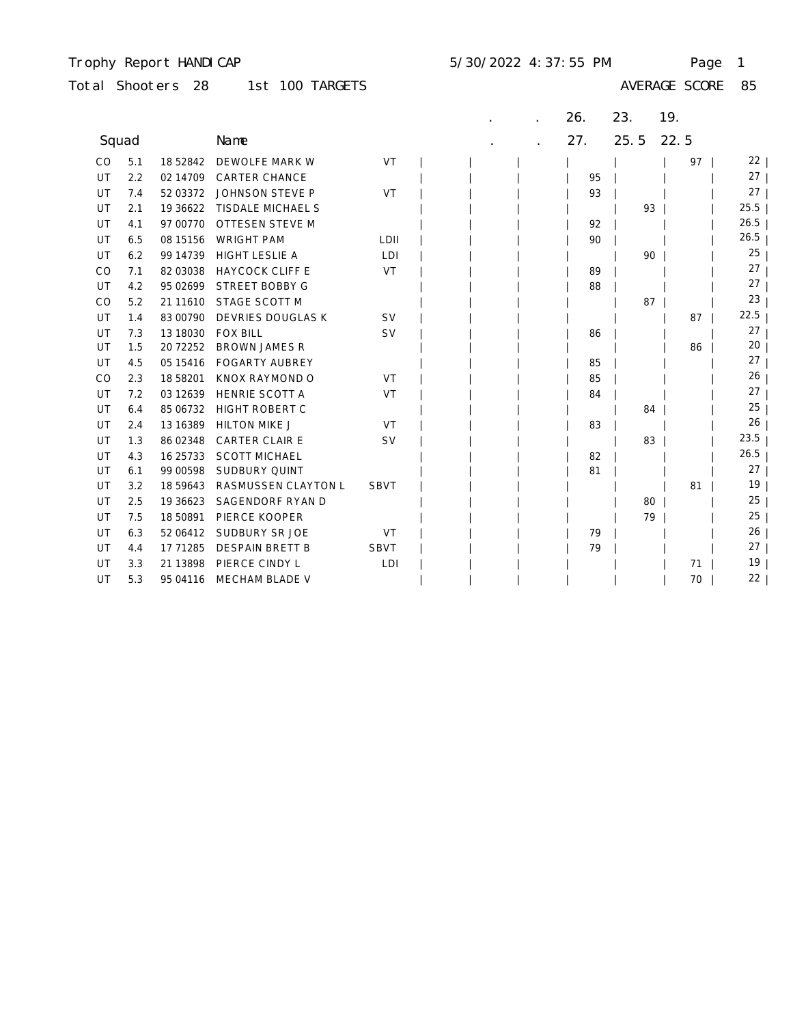### Trophy Report HANDICAP 5/30/2022 4:37:55 PM Page 1

| Total Shooters 28 |  |  | 1st 100 TARGETS |
|-------------------|--|--|-----------------|
|-------------------|--|--|-----------------|

|       |     |            |                          |             |  | 26. | 23.  | 19.  |                 |
|-------|-----|------------|--------------------------|-------------|--|-----|------|------|-----------------|
| Squad |     |            | Name                     |             |  | 27. | 25.5 | 22.5 |                 |
| CO    | 5.1 | 18 52842   | DEWOLFE MARK W           | VT          |  |     |      | 97   | $22 \mid$       |
| UT    | 2.2 | 02 14709   | <b>CARTER CHANCE</b>     |             |  | 95  |      |      | $27 \mid$       |
| UT    | 7.4 | 52 03372   | JOHNSON STEVE P          | VT          |  | 93  |      |      | 27              |
| UT    | 2.1 | 19 36 622  | <b>TISDALE MICHAEL S</b> |             |  |     | 93   |      | $25.5$          |
| UT    | 4.1 | 97 00770   | <b>OTTESEN STEVE M</b>   |             |  | 92  |      |      | 26.5            |
| UT    | 6.5 | 08 15156   | <b>WRIGHT PAM</b>        | LDII        |  | 90  |      |      | 26.5            |
| UT    | 6.2 | 99 14739   | <b>HIGHT LESLIE A</b>    | LDI         |  |     | 90   |      | 25              |
| CO    | 7.1 | 82 03038   | <b>HAYCOCK CLIFF E</b>   | VT          |  | 89  |      |      | 27              |
| UT    | 4.2 | 95 02699   | <b>STREET BOBBY G</b>    |             |  | 88  |      |      | 27              |
| CO    | 5.2 | 21 11 610  | STAGE SCOTT M            |             |  |     | 87   |      | 23              |
| UT    | 1.4 | 83 00790   | DEVRIES DOUGLAS K        | <b>SV</b>   |  |     |      | 87   | 22.5            |
| UT    | 7.3 | 13 18030   | <b>FOX BILL</b>          | <b>SV</b>   |  | 86  |      |      | 27              |
| UT    | 1.5 | 20 72252   | <b>BROWN JAMES R</b>     |             |  |     |      | 86   | 20              |
| UT    | 4.5 | 05 15416   | <b>FOGARTY AUBREY</b>    |             |  | 85  |      |      | 27 <sub>1</sub> |
| CO    | 2.3 | 18 58201   | KNOX RAYMOND O           | VT          |  | 85  |      |      | 26              |
| UT    | 7.2 | 03 12639   | HENRIE SCOTT A           | VT          |  | 84  |      |      | 27              |
| UT    | 6.4 | 85 06732   | HIGHT ROBERT C           |             |  |     | 84   |      | 25              |
| UT    | 2.4 | 13 16 389  | <b>HILTON MIKE J</b>     | VT          |  | 83  |      |      | $26 \mid$       |
| UT    | 1.3 | 86 02348   | <b>CARTER CLAIR E</b>    | <b>SV</b>   |  |     | 83   |      | 23.5            |
| UT    | 4.3 | 16 25 7 33 | <b>SCOTT MICHAEL</b>     |             |  | 82  |      |      | 26.5            |
| UT    | 6.1 | 99 00598   | SUDBURY QUINT            |             |  | 81  |      |      | 27              |
| UT    | 3.2 | 18 59 643  | RASMUSSEN CLAYTON L      | <b>SBVT</b> |  |     |      | 81   | 19 <sub>1</sub> |
| UT    | 2.5 | 19 36623   | SAGENDORF RYAN D         |             |  |     | 80   |      | 25              |
| UT    | 7.5 | 18 50891   | PIERCE KOOPER            |             |  |     | 79   |      | 25              |
| UT    | 6.3 | 52 06412   | SUDBURY SR JOE           | VT          |  | 79  |      |      | 26              |
| UT    | 4.4 | 17 71285   | <b>DESPAIN BRETT B</b>   | <b>SBVT</b> |  | 79  |      |      | 27              |
| UT    | 3.3 | 21 13898   | PIERCE CINDY L           | LDI         |  |     |      | 71   | 19 <sub>1</sub> |
| UT    | 5.3 | 95 04116   | MECHAM BLADE V           |             |  |     |      | 70   | 22              |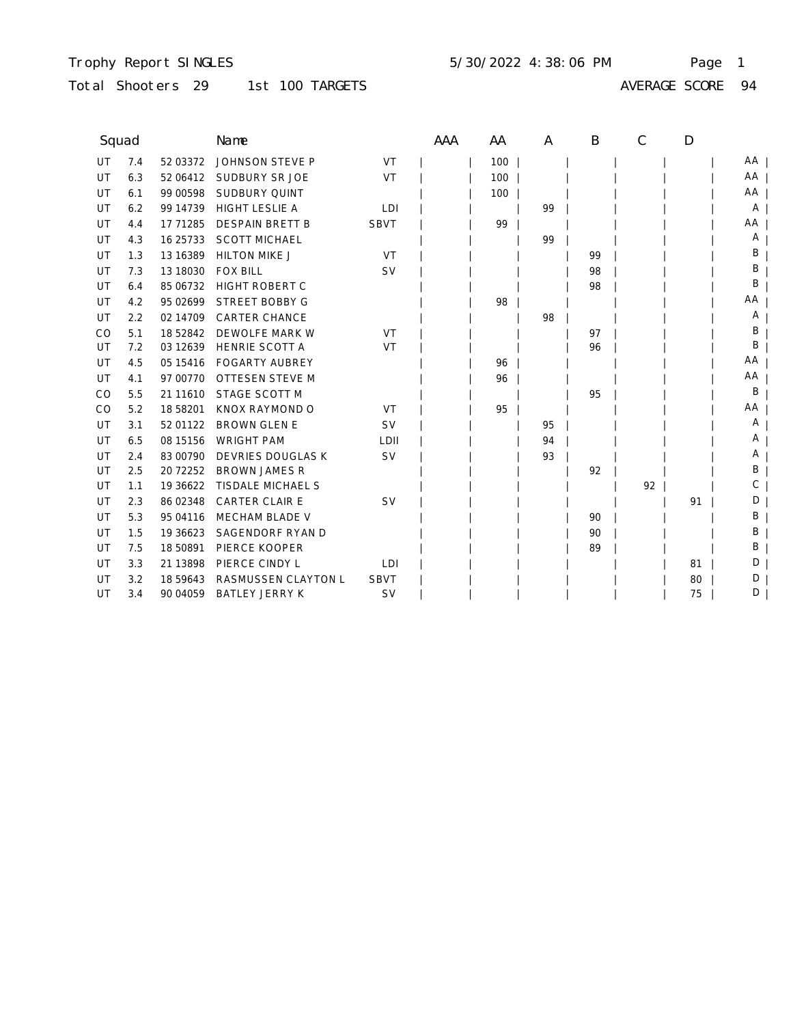### Trophy Report SINGLES Page 1 5/30/2022 4:38:06 PM

# Total Shooters 29 1st 100 TARGETS

| Squad |     |            | Name                     |             | AAA | AA  | A  | B  | C  | D  |    |
|-------|-----|------------|--------------------------|-------------|-----|-----|----|----|----|----|----|
| UT    | 7.4 | 52 03372   | JOHNSON STEVE P          | VT          |     | 100 |    |    |    |    | AA |
| UT    | 6.3 | 52 06412   | SUDBURY SR JOE           | VT          |     | 100 |    |    |    |    | AA |
| UT    | 6.1 | 99 00598   | <b>SUDBURY QUINT</b>     |             |     | 100 |    |    |    |    | AA |
| UT    | 6.2 | 99 14739   | <b>HIGHT LESLIE A</b>    | LDI         |     |     | 99 |    |    |    | A  |
| UT    | 4.4 | 17 71285   | <b>DESPAIN BRETT B</b>   | <b>SBVT</b> |     | 99  |    |    |    |    | AA |
| UT    | 4.3 | 16 25 7 33 | <b>SCOTT MICHAEL</b>     |             |     |     | 99 |    |    |    | Α  |
| UT    | 1.3 | 13 16 389  | <b>HILTON MIKE J</b>     | VT          |     |     |    | 99 |    |    | Β  |
| UT    | 7.3 | 13 18030   | <b>FOX BILL</b>          | <b>SV</b>   |     |     |    | 98 |    |    | B  |
| UT    | 6.4 | 85 06732   | <b>HIGHT ROBERT C</b>    |             |     |     |    | 98 |    |    | B  |
| UT    | 4.2 | 95 02699   | <b>STREET BOBBY G</b>    |             |     | 98  |    |    |    |    | AA |
| UT    | 2.2 | 02 14709   | <b>CARTER CHANCE</b>     |             |     |     | 98 |    |    |    | Α  |
| CO    | 5.1 | 18 52842   | DEWOLFE MARK W           | VT          |     |     |    | 97 |    |    | B  |
| UT    | 7.2 | 03 12639   | <b>HENRIE SCOTT A</b>    | VT          |     |     |    | 96 |    |    | B  |
| UT    | 4.5 | 05 15416   | <b>FOGARTY AUBREY</b>    |             |     | 96  |    |    |    |    | AA |
| UT    | 4.1 | 97 00770   | OTTESEN STEVE M          |             |     | 96  |    |    |    |    | AA |
| CO    | 5.5 | 21 11 610  | STAGE SCOTT M            |             |     |     |    | 95 |    |    | B  |
| CO    | 5.2 | 18 58201   | KNOX RAYMOND O           | VT          |     | 95  |    |    |    |    | AA |
| UT    | 3.1 | 52 01122   | <b>BROWN GLEN E</b>      | <b>SV</b>   |     |     | 95 |    |    |    | Α  |
| UT    | 6.5 | 08 15 15 6 | <b>WRIGHT PAM</b>        | LDII        |     |     | 94 |    |    |    | A  |
| UT    | 2.4 | 83 00790   | <b>DEVRIES DOUGLAS K</b> | <b>SV</b>   |     |     | 93 |    |    |    | Α  |
| UT    | 2.5 | 20 72252   | <b>BROWN JAMES R</b>     |             |     |     |    | 92 |    |    | B  |
| UT    | 1.1 | 19 36 622  | <b>TISDALE MICHAEL S</b> |             |     |     |    |    | 92 |    | С  |
| UT    | 2.3 | 86 02348   | <b>CARTER CLAIR E</b>    | <b>SV</b>   |     |     |    |    |    | 91 | D  |
| UT    | 5.3 | 95 04116   | <b>MECHAM BLADE V</b>    |             |     |     |    | 90 |    |    | Β  |
| UT    | 1.5 | 19 36 623  | SAGENDORF RYAN D         |             |     |     |    | 90 |    |    | Β  |
| UT    | 7.5 | 18 50891   | PIERCE KOOPER            |             |     |     |    | 89 |    |    | B  |
| UT    | 3.3 | 21 13898   | PIERCE CINDY L           | LDI         |     |     |    |    |    | 81 | D  |
| UT    | 3.2 | 18 59 643  | RASMUSSEN CLAYTON L      | <b>SBVT</b> |     |     |    |    |    | 80 | D  |
| UT    | 3.4 | 90 04 059  | <b>BATLEY JERRY K</b>    | <b>SV</b>   |     |     |    |    |    | 75 | D  |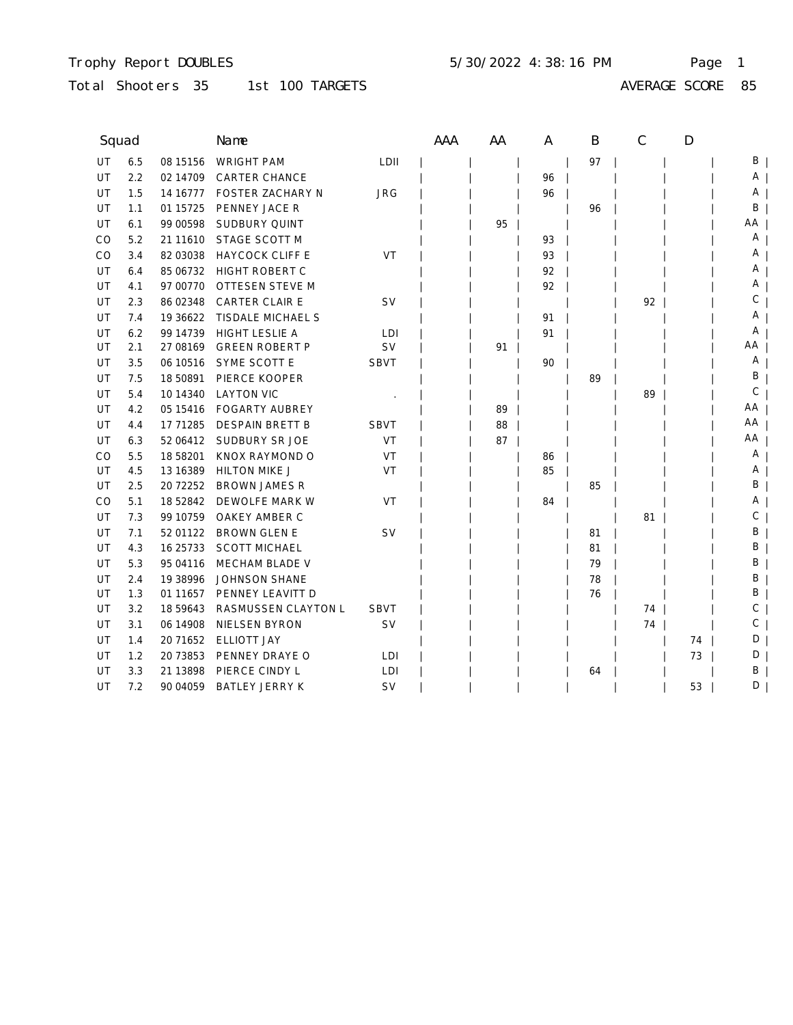## Trophy Report DOUBLES Page 1 5/30/2022 4:38:16 PM

# Total Shooters 35 1st 100 TARGETS

AVERAGE SCORE 85

| Squad     |     |            | Name                    |             | AAA | AA | A  | B  | C  | D  |          |
|-----------|-----|------------|-------------------------|-------------|-----|----|----|----|----|----|----------|
| <b>UT</b> | 6.5 | 08 15 15 6 | <b>WRIGHT PAM</b>       | LDII        |     |    |    | 97 |    |    | ΒI       |
| UT        | 2.2 | 02 14709   | <b>CARTER CHANCE</b>    |             |     |    | 96 |    |    |    | $A \mid$ |
| UT        | 1.5 | 14 16777   | <b>FOSTER ZACHARY N</b> | <b>JRG</b>  |     |    | 96 |    |    |    | A        |
| UT        | 1.1 | 01 15725   | PENNEY JACE R           |             |     |    |    | 96 |    |    | В        |
| UT        | 6.1 | 99 00598   | SUDBURY QUINT           |             |     | 95 |    |    |    |    | AA       |
| CO        | 5.2 | 21 11 610  | STAGE SCOTT M           |             |     |    | 93 |    |    |    | Α        |
| CO        | 3.4 | 82 03038   | <b>HAYCOCK CLIFF E</b>  | VT          |     |    | 93 |    |    |    | Α        |
| UT        | 6.4 | 85 06732   | <b>HIGHT ROBERT C</b>   |             |     |    | 92 |    |    |    | Α        |
| UT        | 4.1 | 97 00770   | OTTESEN STEVE M         |             |     |    | 92 |    |    |    | A        |
| UT        | 2.3 | 86 02348   | <b>CARTER CLAIR E</b>   | <b>SV</b>   |     |    |    |    | 92 |    | С        |
| UT        | 7.4 | 19 36 622  | TISDALE MICHAEL S       |             |     |    | 91 |    |    |    | Α        |
| UT        | 6.2 | 99 14739   | <b>HIGHT LESLIE A</b>   | LDI         |     |    | 91 |    |    |    | Α        |
| UT        | 2.1 | 27 08 169  | <b>GREEN ROBERT P</b>   | <b>SV</b>   |     | 91 |    |    |    |    | AA       |
| UT        | 3.5 | 06 10516   | SYME SCOTT E            | <b>SBVT</b> |     |    | 90 |    |    |    | A        |
| UT        | 7.5 | 18 50891   | PIERCE KOOPER           |             |     |    |    | 89 |    |    | В        |
| UT        | 5.4 | 10 14 34 0 | <b>LAYTON VIC</b>       |             |     |    |    |    | 89 |    | С        |
| UT        | 4.2 | 05 15416   | <b>FOGARTY AUBREY</b>   |             |     | 89 |    |    |    |    | AA       |
| UT        | 4.4 | 17 71285   | <b>DESPAIN BRETT B</b>  | <b>SBVT</b> |     | 88 |    |    |    |    | AA       |
| UT        | 6.3 | 52 06412   | SUDBURY SR JOE          | VT          |     | 87 |    |    |    |    | AΑ       |
| CO        | 5.5 | 18 58201   | KNOX RAYMOND O          | <b>VT</b>   |     |    | 86 |    |    |    | Α        |
| UT        | 4.5 | 13 16 389  | <b>HILTON MIKE J</b>    | VT          |     |    | 85 |    |    |    | A        |
| UT        | 2.5 | 20 72252   | <b>BROWN JAMES R</b>    |             |     |    |    | 85 |    |    | В        |
| CO        | 5.1 | 18 52842   | DEWOLFE MARK W          | VT          |     |    | 84 |    |    |    | Α        |
| UT        | 7.3 | 99 10759   | OAKEY AMBER C           |             |     |    |    |    | 81 |    | С        |
| UT        | 7.1 | 52 01122   | <b>BROWN GLEN E</b>     | SV          |     |    |    | 81 |    |    | Β        |
| UT        | 4.3 | 16 25 7 33 | <b>SCOTT MICHAEL</b>    |             |     |    |    | 81 |    |    | Β        |
| UT        | 5.3 | 95 04116   | MECHAM BLADE V          |             |     |    |    | 79 |    |    | Β        |
| UT        | 2.4 | 19 38 996  | <b>JOHNSON SHANE</b>    |             |     |    |    | 78 |    |    | В        |
| UT        | 1.3 | 01 11 657  | PENNEY LEAVITT D        |             |     |    |    | 76 |    |    | В        |
| UT        | 3.2 | 18 59643   | RASMUSSEN CLAYTON L     | <b>SBVT</b> |     |    |    |    | 74 |    | С        |
| UT        | 3.1 | 06 14908   | NIELSEN BYRON           | SV          |     |    |    |    | 74 |    | С        |
| UT        | 1.4 | 20 71652   | <b>ELLIOTT JAY</b>      |             |     |    |    |    |    | 74 | D        |
| UT        | 1.2 | 20 73853   | PENNEY DRAYE O          | LDI         |     |    |    |    |    | 73 | D        |
| UT        | 3.3 | 21 13898   | PIERCE CINDY L          | LDI         |     |    |    | 64 |    |    | Β        |
| UT        | 7.2 | 90 04 059  | <b>BATLEY JERRY K</b>   | SV          |     |    |    |    |    | 53 | D        |